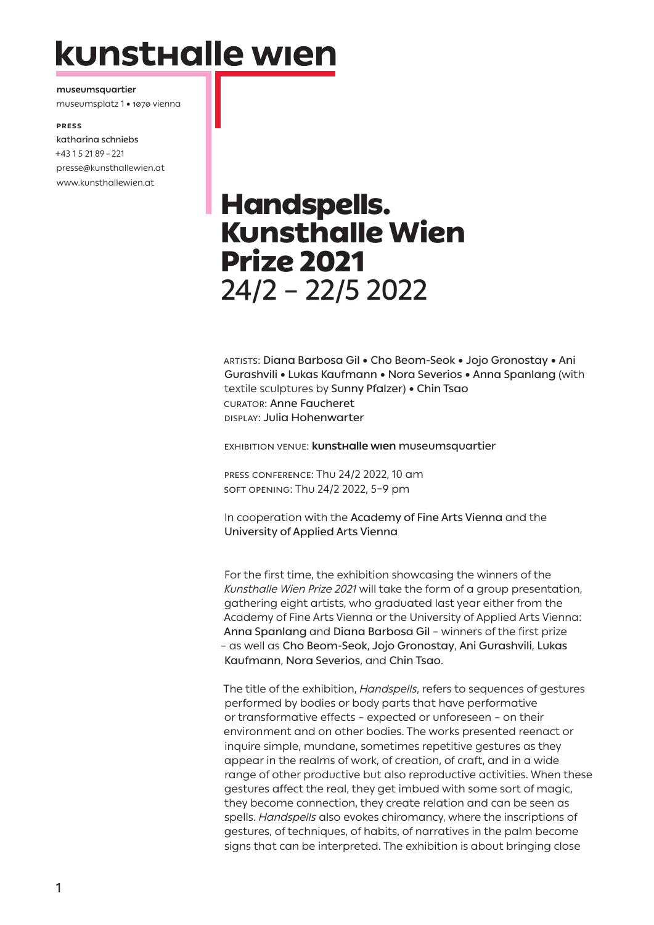# kunsthalle wien

**museumsquartier** museumsplatz 1 • 1070 vienna

#### **Press**

katharina schniebs +43 1 5 21 89 – 221 presse@kunsthallewien.at www.kunsthallewien.at

# Handspells. Kunsthalle Wien Prize 2021 24/2 – 22/5 2022

Artists: Diana Barbosa Gil • Cho Beom-Seok • Jojo Gronostay • Ani Gurashvili • Lukas Kaufmann • Nora Severios • Anna Spanlang (with textile sculptures by Sunny Pfalzer) • Chin Tsao curator: Anne Faucheret Display: Julia Hohenwarter

EXHIBITION VENUE: **kunsthalle wien** museumsquartier

PRESS CONFERENCE: Thu 24/2 2022, 10 am SOFT OPENING: Thu 24/2 2022, 5–9 pm

In cooperation with the Academy of Fine Arts Vienna and the University of Applied Arts Vienna

For the first time, the exhibition showcasing the winners of the *Kunsthalle Wien Prize 2021* will take the form of a group presentation, gathering eight artists, who graduated last year either from the Academy of Fine Arts Vienna or the University of Applied Arts Vienna: Anna Spanlang and Diana Barbosa Gil – winners of the first prize – as well as Cho Beom-Seok, Jojo Gronostay, Ani Gurashvili, Lukas Kaufmann, Nora Severios, and Chin Tsao.

The title of the exhibition, *Handspells*, refers to sequences of gestures performed by bodies or body parts that have performative or transformative effects – expected or unforeseen – on their environment and on other bodies. The works presented reenact or inquire simple, mundane, sometimes repetitive gestures as they appear in the realms of work, of creation, of craft, and in a wide range of other productive but also reproductive activities. When these gestures affect the real, they get imbued with some sort of magic, they become connection, they create relation and can be seen as spells. *Handspells* also evokes chiromancy, where the inscriptions of gestures, of techniques, of habits, of narratives in the palm become signs that can be interpreted. The exhibition is about bringing close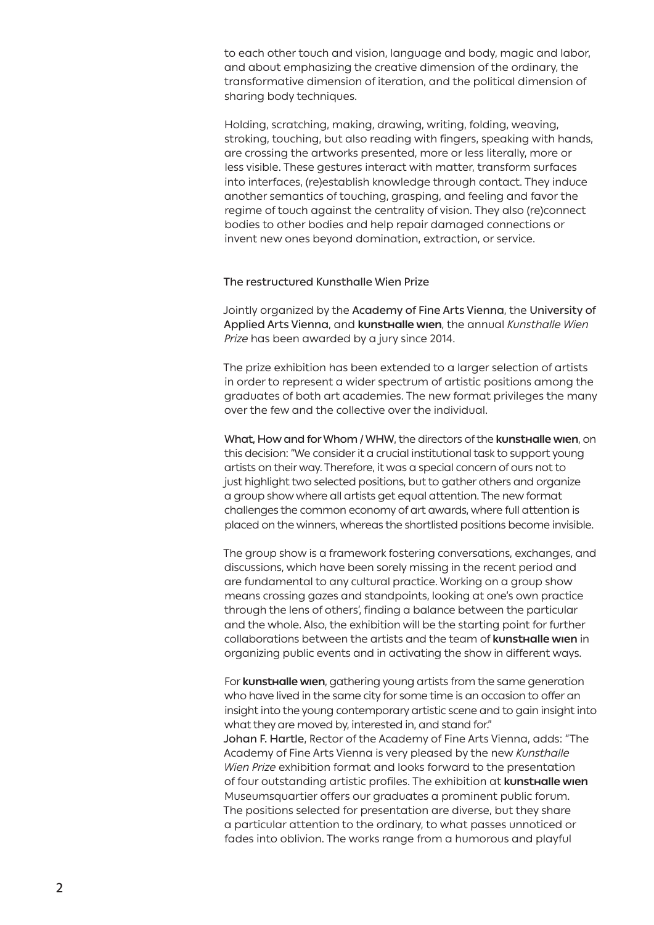to each other touch and vision, language and body, magic and labor, and about emphasizing the creative dimension of the ordinary, the transformative dimension of iteration, and the political dimension of sharing body techniques.

Holding, scratching, making, drawing, writing, folding, weaving, stroking, touching, but also reading with fingers, speaking with hands, are crossing the artworks presented, more or less literally, more or less visible. These gestures interact with matter, transform surfaces into interfaces, (re)establish knowledge through contact. They induce another semantics of touching, grasping, and feeling and favor the regime of touch against the centrality of vision. They also (re)connect bodies to other bodies and help repair damaged connections or invent new ones beyond domination, extraction, or service.

#### The restructured Kunsthalle Wien Prize

Jointly organized by the Academy of Fine Arts Vienna, the University of Applied Arts Vienna, and **kunsthalle wien**, the annual *Kunsthalle Wien Prize* has been awarded by a jury since 2014.

The prize exhibition has been extended to a larger selection of artists in order to represent a wider spectrum of artistic positions among the graduates of both art academies. The new format privileges the many over the few and the collective over the individual.

What, How and for Whom / WHW, the directors of the **kunsthalle wien**, on this decision: "We consider it a crucial institutional task to support young artists on their way. Therefore, it was a special concern of ours not to just highlight two selected positions, but to gather others and organize a group show where all artists get equal attention. The new format challenges the common economy of art awards, where full attention is placed on the winners, whereas the shortlisted positions become invisible.

The group show is a framework fostering conversations, exchanges, and discussions, which have been sorely missing in the recent period and are fundamental to any cultural practice. Working on a group show means crossing gazes and standpoints, looking at one's own practice through the lens of others', finding a balance between the particular and the whole. Also, the exhibition will be the starting point for further collaborations between the artists and the team of **kunsthalle wien** in organizing public events and in activating the show in different ways.

For **kunsthalle wien**, gathering young artists from the same generation who have lived in the same city for some time is an occasion to offer an insight into the young contemporary artistic scene and to gain insight into what they are moved by, interested in, and stand for." Johan F. Hartle, Rector of the Academy of Fine Arts Vienna, adds: "The Academy of Fine Arts Vienna is very pleased by the new *Kunsthalle Wien Prize* exhibition format and looks forward to the presentation of four outstanding artistic profiles. The exhibition at **kunsthalle wien**  Museumsquartier offers our graduates a prominent public forum. The positions selected for presentation are diverse, but they share a particular attention to the ordinary, to what passes unnoticed or fades into oblivion. The works range from a humorous and playful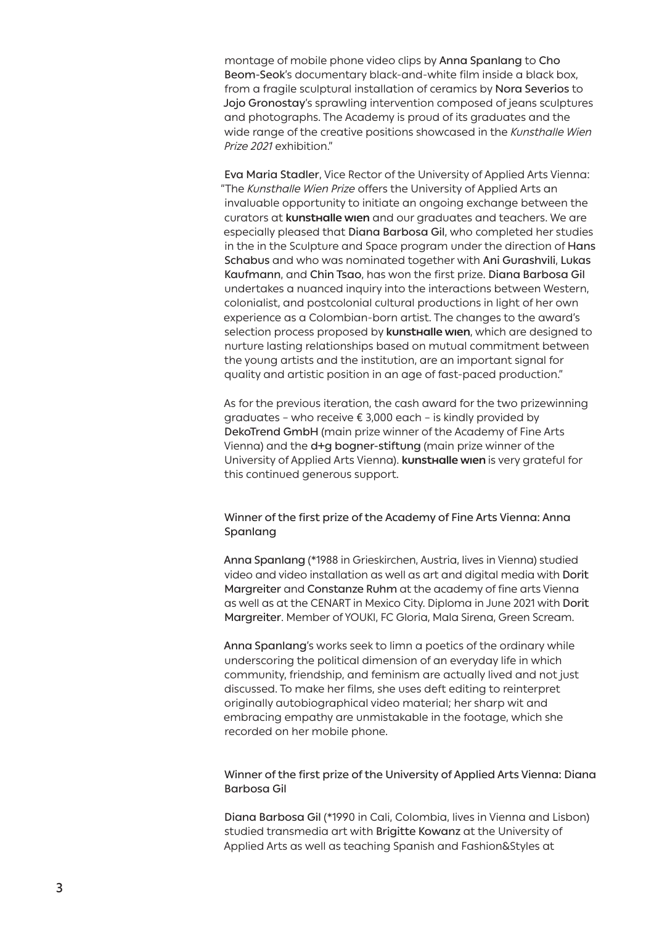montage of mobile phone video clips by Anna Spanlang to Cho Beom-Seok's documentary black-and-white film inside a black box, from a fragile sculptural installation of ceramics by Nora Severios to Jojo Gronostay's sprawling intervention composed of jeans sculptures and photographs. The Academy is proud of its graduates and the wide range of the creative positions showcased in the *Kunsthalle Wien Prize 2021* exhibition."

Eva Maria Stadler, Vice Rector of the University of Applied Arts Vienna: "The *Kunsthalle Wien Prize* offers the University of Applied Arts an invaluable opportunity to initiate an ongoing exchange between the curators at **kunsthalle wien** and our graduates and teachers. We are especially pleased that Diana Barbosa Gil, who completed her studies in the in the Sculpture and Space program under the direction of Hans Schabus and who was nominated together with Ani Gurashvili, Lukas Kaufmann, and Chin Tsao, has won the first prize. Diana Barbosa Gil undertakes a nuanced inquiry into the interactions between Western, colonialist, and postcolonial cultural productions in light of her own experience as a Colombian-born artist. The changes to the award's selection process proposed by **kunsthalle wien**, which are designed to nurture lasting relationships based on mutual commitment between the young artists and the institution, are an important signal for quality and artistic position in an age of fast-paced production."

As for the previous iteration, the cash award for the two prizewinning graduates – who receive € 3,000 each – is kindly provided by DekoTrend GmbH (main prize winner of the Academy of Fine Arts Vienna) and the d+g bogner-stiftung (main prize winner of the University of Applied Arts Vienna). **kunsthalle wien** is very grateful for this continued generous support.

## Winner of the first prize of the Academy of Fine Arts Vienna: Anna Spanlang

Anna Spanlang (\*1988 in Grieskirchen, Austria, lives in Vienna) studied video and video installation as well as art and digital media with Dorit Margreiter and Constanze Ruhm at the academy of fine arts Vienna as well as at the CENART in Mexico City. Diploma in June 2021 with Dorit Margreiter. Member of YOUKI, FC Gloria, Mala Sirena, Green Scream.

Anna Spanlang's works seek to limn a poetics of the ordinary while underscoring the political dimension of an everyday life in which community, friendship, and feminism are actually lived and not just discussed. To make her films, she uses deft editing to reinterpret originally autobiographical video material; her sharp wit and embracing empathy are unmistakable in the footage, which she recorded on her mobile phone.

## Winner of the first prize of the University of Applied Arts Vienna: Diana Barbosa Gil

Diana Barbosa Gil (\*1990 in Cali, Colombia, lives in Vienna and Lisbon) studied transmedia art with Brigitte Kowanz at the University of Applied Arts as well as teaching Spanish and Fashion&Styles at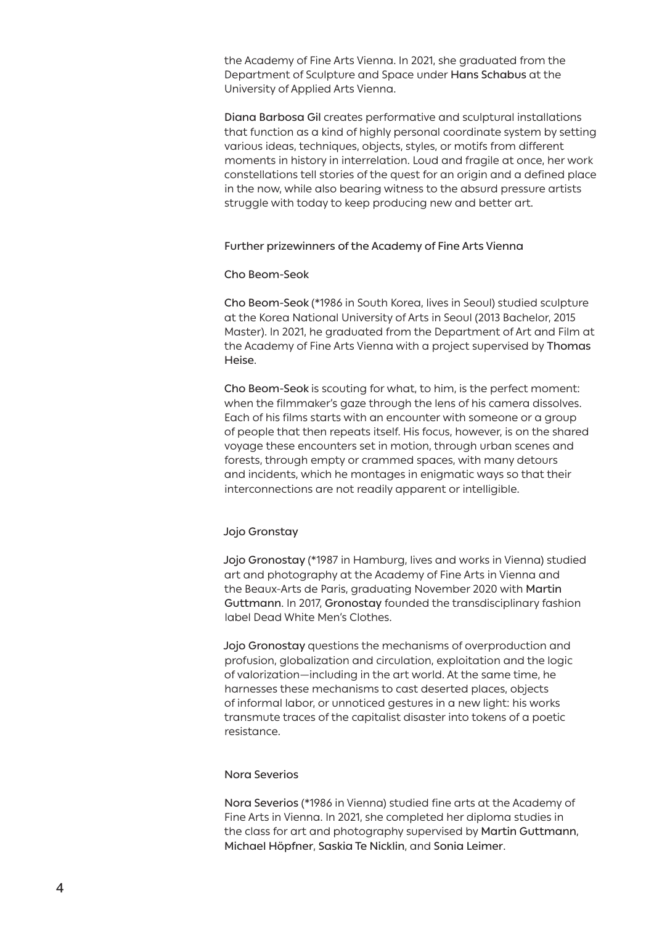the Academy of Fine Arts Vienna. In 2021, she graduated from the Department of Sculpture and Space under Hans Schabus at the University of Applied Arts Vienna.

Diana Barbosa Gil creates performative and sculptural installations that function as a kind of highly personal coordinate system by setting various ideas, techniques, objects, styles, or motifs from different moments in history in interrelation. Loud and fragile at once, her work constellations tell stories of the quest for an origin and a defined place in the now, while also bearing witness to the absurd pressure artists struggle with today to keep producing new and better art.

#### Further prizewinners of the Academy of Fine Arts Vienna

#### Cho Beom-Seok

Cho Beom-Seok (\*1986 in South Korea, lives in Seoul) studied sculpture at the Korea National University of Arts in Seoul (2013 Bachelor, 2015 Master). In 2021, he graduated from the Department of Art and Film at the Academy of Fine Arts Vienna with a project supervised by Thomas Heise.

Cho Beom-Seok is scouting for what, to him, is the perfect moment: when the filmmaker's gaze through the lens of his camera dissolves. Each of his films starts with an encounter with someone or a group of people that then repeats itself. His focus, however, is on the shared voyage these encounters set in motion, through urban scenes and forests, through empty or crammed spaces, with many detours and incidents, which he montages in enigmatic ways so that their interconnections are not readily apparent or intelligible.

#### Jojo Gronstay

Jojo Gronostay (\*1987 in Hamburg, lives and works in Vienna) studied art and photography at the Academy of Fine Arts in Vienna and the Beaux-Arts de Paris, graduating November 2020 with Martin Guttmann. In 2017, Gronostay founded the transdisciplinary fashion label Dead White Men's Clothes.

Jojo Gronostay questions the mechanisms of overproduction and profusion, globalization and circulation, exploitation and the logic of valorization—including in the art world. At the same time, he harnesses these mechanisms to cast deserted places, objects of informal labor, or unnoticed gestures in a new light: his works transmute traces of the capitalist disaster into tokens of a poetic resistance.

#### Nora Severios

Nora Severios (\*1986 in Vienna) studied fine arts at the Academy of Fine Arts in Vienna. In 2021, she completed her diploma studies in the class for art and photography supervised by Martin Guttmann, Michael Höpfner, Saskia Te Nicklin, and Sonia Leimer.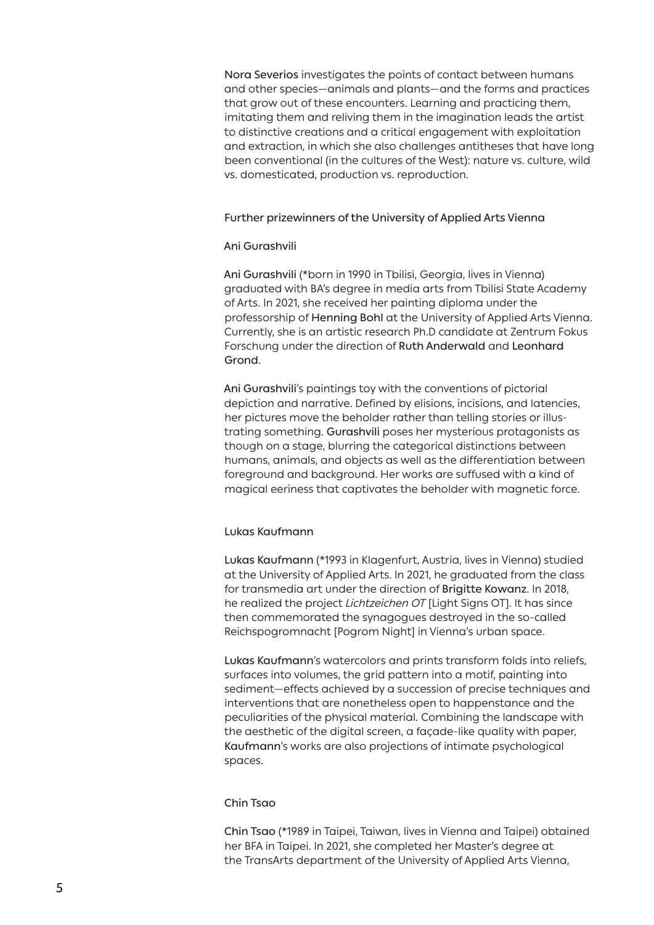Nora Severios investigates the points of contact between humans and other species—animals and plants—and the forms and practices that grow out of these encounters. Learning and practicing them, imitating them and reliving them in the imagination leads the artist to distinctive creations and a critical engagement with exploitation and extraction, in which she also challenges antitheses that have long been conventional (in the cultures of the West): nature vs. culture, wild vs. domesticated, production vs. reproduction.

#### Further prizewinners of the University of Applied Arts Vienna

#### Ani Gurashvili

Ani Gurashvili (\*born in 1990 in Tbilisi, Georgia, lives in Vienna) graduated with BA's degree in media arts from Tbilisi State Academy of Arts. In 2021, she received her painting diploma under the professorship of Henning Bohl at the University of Applied Arts Vienna. Currently, she is an artistic research Ph.D candidate at Zentrum Fokus Forschung under the direction of Ruth Anderwald and Leonhard Grond.

Ani Gurashvili's paintings toy with the conventions of pictorial depiction and narrative. Defined by elisions, incisions, and latencies, her pictures move the beholder rather than telling stories or illustrating something. Gurashvili poses her mysterious protagonists as though on a stage, blurring the categorical distinctions between humans, animals, and objects as well as the differentiation between foreground and background. Her works are suffused with a kind of magical eeriness that captivates the beholder with magnetic force.

#### Lukas Kaufmann

Lukas Kaufmann (\*1993 in Klagenfurt, Austria, lives in Vienna) studied at the University of Applied Arts. In 2021, he graduated from the class for transmedia art under the direction of Brigitte Kowanz. In 2018, he realized the project *Lichtzeichen OT* [Light Signs OT]. It has since then commemorated the synagogues destroyed in the so-called Reichspogromnacht [Pogrom Night] in Vienna's urban space.

Lukas Kaufmann's watercolors and prints transform folds into reliefs, surfaces into volumes, the grid pattern into a motif, painting into sediment—effects achieved by a succession of precise techniques and interventions that are nonetheless open to happenstance and the peculiarities of the physical material. Combining the landscape with the aesthetic of the digital screen, a façade-like quality with paper, Kaufmann's works are also projections of intimate psychological spaces.

#### Chin Tsao

Chin Tsao (\*1989 in Taipei, Taiwan, lives in Vienna and Taipei) obtained her BFA in Taipei. In 2021, she completed her Master's degree at the TransArts department of the University of Applied Arts Vienna,